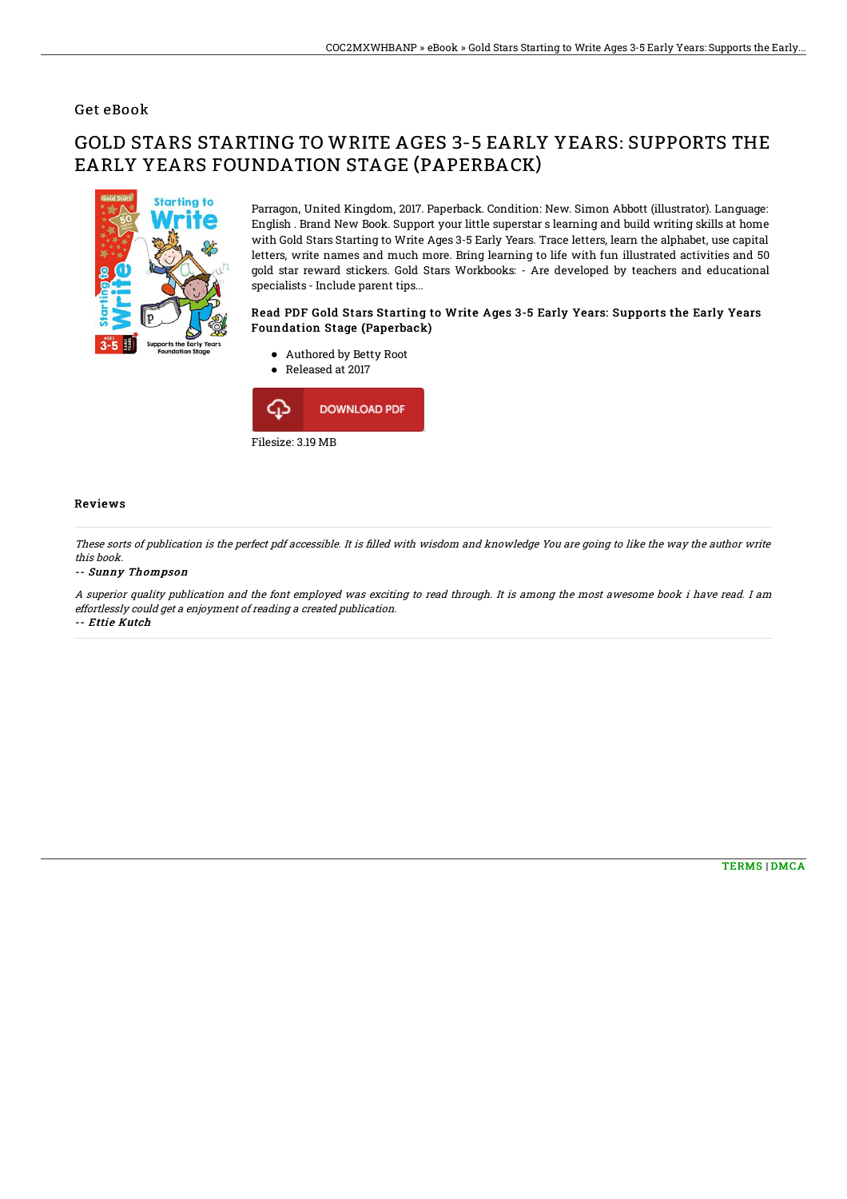## Get eBook

# GOLD STARS STARTING TO WRITE AGES 3-5 EARLY YEARS: SUPPORTS THE EARLY YEARS FOUNDATION STAGE (PAPERBACK)



Parragon, United Kingdom, 2017. Paperback. Condition: New. Simon Abbott (illustrator). Language: English . Brand New Book. Support your little superstar s learning and build writing skills at home with Gold Stars Starting to Write Ages 3-5 Early Years. Trace letters, learn the alphabet, use capital letters, write names and much more. Bring learning to life with fun illustrated activities and 50 gold star reward stickers. Gold Stars Workbooks: - Are developed by teachers and educational specialists - Include parent tips...

#### Read PDF Gold Stars Starting to Write Ages 3-5 Early Years: Supports the Early Years Foundation Stage (Paperback)

- Authored by Betty Root
- Released at 2017



### Reviews

These sorts of publication is the perfect pdf accessible. It is filled with wisdom and knowledge You are going to like the way the author write this book.

#### -- Sunny Thompson

A superior quality publication and the font employed was exciting to read through. It is among the most awesome book i have read. I am effortlessly could get <sup>a</sup> enjoyment of reading <sup>a</sup> created publication. -- Ettie Kutch